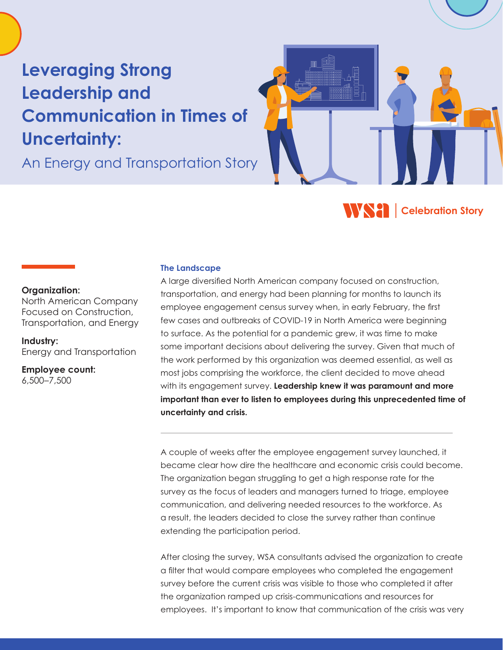# **Leveraging Strong Leadership and Communication in Times of Uncertainty:**

An Energy and Transportation Story



### **Organization:**

North American Company Focused on Construction, Transportation, and Energy

**Industry:** Energy and Transportation

**Employee count:** 6,500–7,500

# **The Landscape**

A large diversified North American company focused on construction, transportation, and energy had been planning for months to launch its employee engagement census survey when, in early February, the first few cases and outbreaks of COVID-19 in North America were beginning to surface. As the potential for a pandemic grew, it was time to make some important decisions about delivering the survey. Given that much of the work performed by this organization was deemed essential, as well as most jobs comprising the workforce, the client decided to move ahead with its engagement survey. **Leadership knew it was paramount and more important than ever to listen to employees during this unprecedented time of uncertainty and crisis.**

A couple of weeks after the employee engagement survey launched, it became clear how dire the healthcare and economic crisis could become. The organization began struggling to get a high response rate for the survey as the focus of leaders and managers turned to triage, employee communication, and delivering needed resources to the workforce. As a result, the leaders decided to close the survey rather than continue extending the participation period.

After closing the survey, WSA consultants advised the organization to create a filter that would compare employees who completed the engagement survey before the current crisis was visible to those who completed it after the organization ramped up crisis-communications and resources for employees. It's important to know that communication of the crisis was very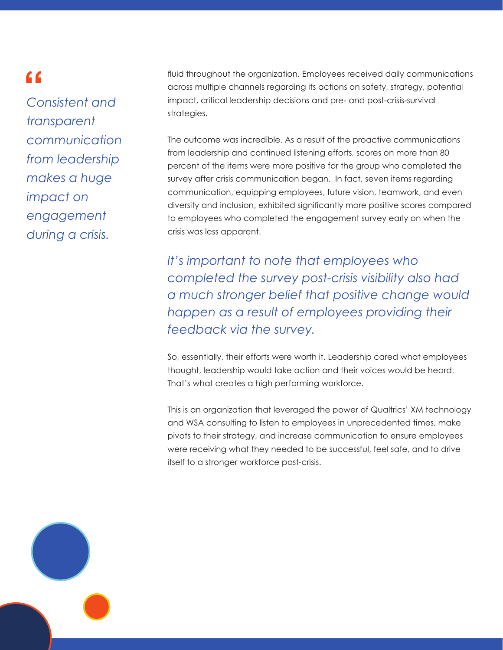*Consistent and transparent communication from leadership makes a huge impact on engagement during a crisis.*

**"** fluid throughout the organization. Employees received daily communications<br>across multiple channels regarding its actions on safety, strategy, potential<br>Consistent and impact, critical leadership decisions and pre- and across multiple channels regarding its actions on safety, strategy, potential impact, critical leadership decisions and pre- and post-crisis-survival strategies.

> The outcome was incredible. As a result of the proactive communications from leadership and continued listening efforts, scores on more than 80 percent of the items were more positive for the group who completed the survey after crisis communication began. In fact, seven items regarding communication, equipping employees, future vision, teamwork, and even diversity and inclusion, exhibited significantly more positive scores compared to employees who completed the engagement survey early on when the crisis was less apparent.

> *It's important to note that employees who completed the survey post-crisis visibility also had a much stronger belief that positive change would happen as a result of employees providing their feedback via the survey.*

So, essentially, their efforts were worth it. Leadership cared what employees thought, leadership would take action and their voices would be heard. That's what creates a high performing workforce.

This is an organization that leveraged the power of Qualtrics' XM technology and WSA consulting to listen to employees in unprecedented times, make pivots to their strategy, and increase communication to ensure employees were receiving what they needed to be successful, feel safe, and to drive itself to a stronger workforce post-crisis.